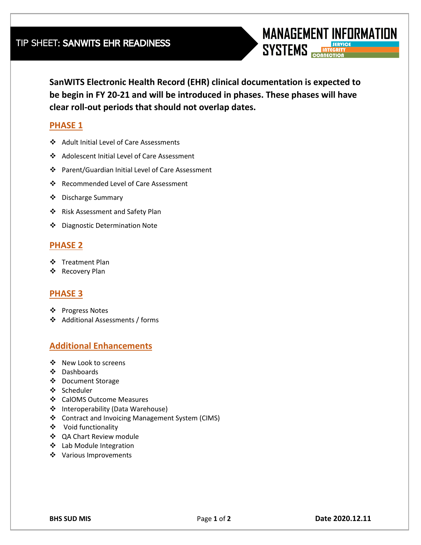**SanWITS Electronic Health Record (EHR) clinical documentation is expected to** 

**MANAGEMENT INFORMATION** 

**SYSTEMS** 

**be begin in FY 20-21 and will be introduced in phases. These phases will have clear roll-out periods that should not overlap dates.** 

## **PHASE 1**

- Adult Initial Level of Care Assessments
- Adolescent Initial Level of Care Assessment
- Parent/Guardian Initial Level of Care Assessment
- ❖ Recommended Level of Care Assessment
- ❖ Discharge Summary
- Risk Assessment and Safety Plan
- Diagnostic Determination Note

## **PHASE 2**

- ❖ Treatment Plan
- Recovery Plan

#### **PHASE 3**

- ❖ Progress Notes
- Additional Assessments / forms

## **Additional Enhancements**

- ❖ New Look to screens
- Dashboards
- ❖ Document Storage
- ❖ Scheduler
- CalOMS Outcome Measures
- ❖ Interoperability (Data Warehouse)
- Contract and Invoicing Management System (CIMS)
- Void functionality
- QA Chart Review module
- Lab Module Integration
- ❖ Various Improvements